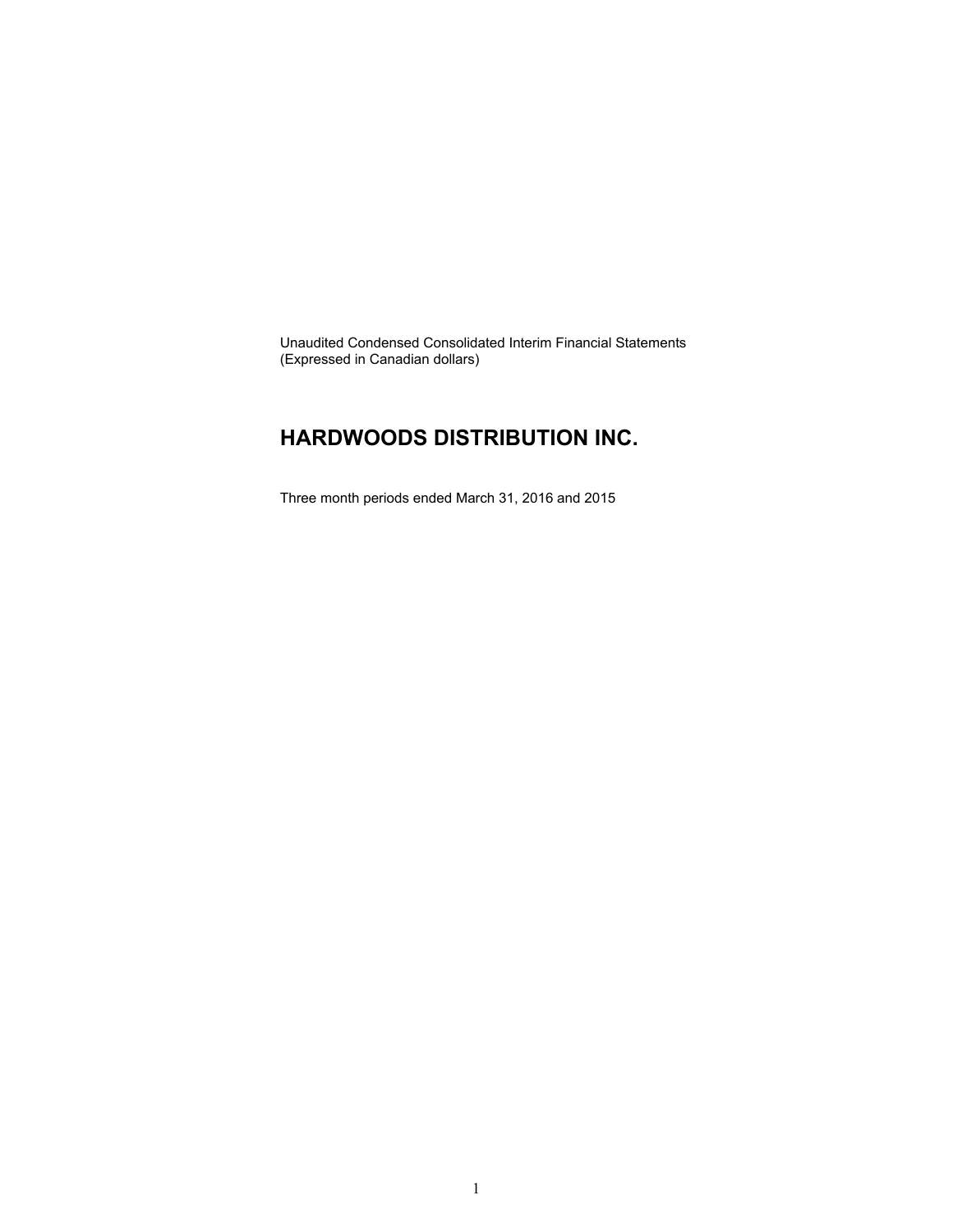Unaudited Condensed Consolidated Interim Financial Statements (Expressed in Canadian dollars)

### **HARDWOODS DISTRIBUTION INC.**

Three month periods ended March 31, 2016 and 2015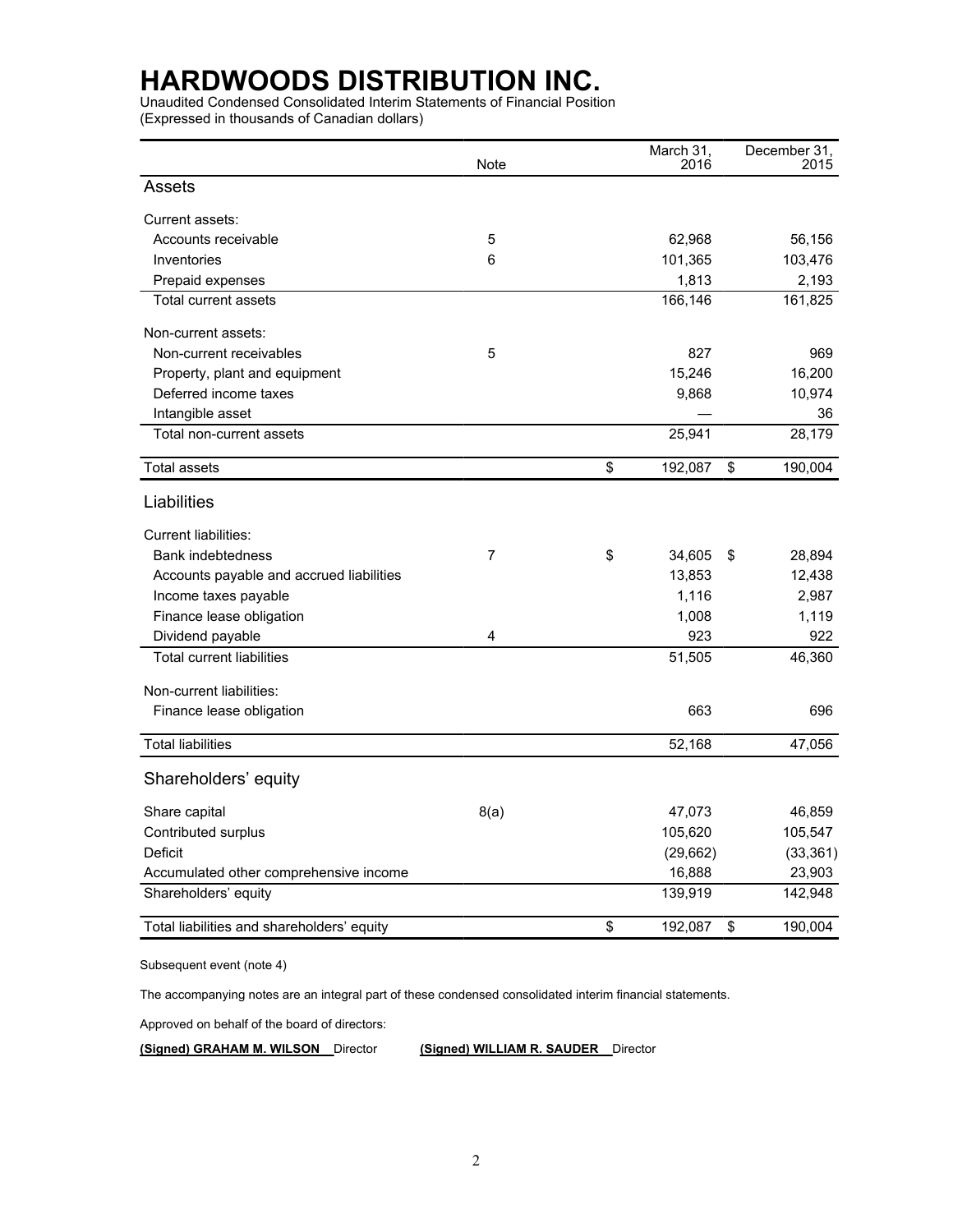Unaudited Condensed Consolidated Interim Statements of Financial Position (Expressed in thousands of Canadian dollars)

|                                            | Note           | March 31,<br>2016 | December 31,<br>2015 |
|--------------------------------------------|----------------|-------------------|----------------------|
| Assets                                     |                |                   |                      |
| Current assets:                            |                |                   |                      |
| Accounts receivable                        | 5              | 62,968            | 56,156               |
| Inventories                                | 6              | 101,365           | 103,476              |
| Prepaid expenses                           |                | 1,813             | 2,193                |
| <b>Total current assets</b>                |                | 166,146           | 161,825              |
| Non-current assets:                        |                |                   |                      |
| Non-current receivables                    | 5              | 827               | 969                  |
| Property, plant and equipment              |                | 15,246            | 16,200               |
| Deferred income taxes                      |                | 9,868             | 10,974               |
| Intangible asset                           |                |                   | 36                   |
| Total non-current assets                   |                | 25,941            | 28,179               |
| <b>Total assets</b>                        |                | \$<br>192,087     | \$<br>190,004        |
| Liabilities                                |                |                   |                      |
| <b>Current liabilities:</b>                |                |                   |                      |
| <b>Bank indebtedness</b>                   | $\overline{7}$ | \$<br>34,605      | \$<br>28,894         |
| Accounts payable and accrued liabilities   |                | 13,853            | 12,438               |
| Income taxes payable                       |                | 1,116             | 2,987                |
| Finance lease obligation                   |                | 1,008             | 1,119                |
| Dividend payable                           | 4              | 923               | 922                  |
| <b>Total current liabilities</b>           |                | 51,505            | 46,360               |
| Non-current liabilities:                   |                |                   |                      |
| Finance lease obligation                   |                | 663               | 696                  |
| <b>Total liabilities</b>                   |                | 52,168            | 47,056               |
| Shareholders' equity                       |                |                   |                      |
| Share capital                              | 8(a)           | 47,073            | 46,859               |
| Contributed surplus                        |                | 105,620           | 105,547              |
| Deficit                                    |                | (29, 662)         | (33, 361)            |
| Accumulated other comprehensive income     |                | 16,888            | 23,903               |
| Shareholders' equity                       |                | 139,919           | 142,948              |
| Total liabilities and shareholders' equity |                | \$<br>192,087     | \$<br>190,004        |

Subsequent event (note 4)

The accompanying notes are an integral part of these condensed consolidated interim financial statements.

Approved on behalf of the board of directors:

**(Signed) GRAHAM M. WILSON** Director **(Signed) WILLIAM R. SAUDER** Director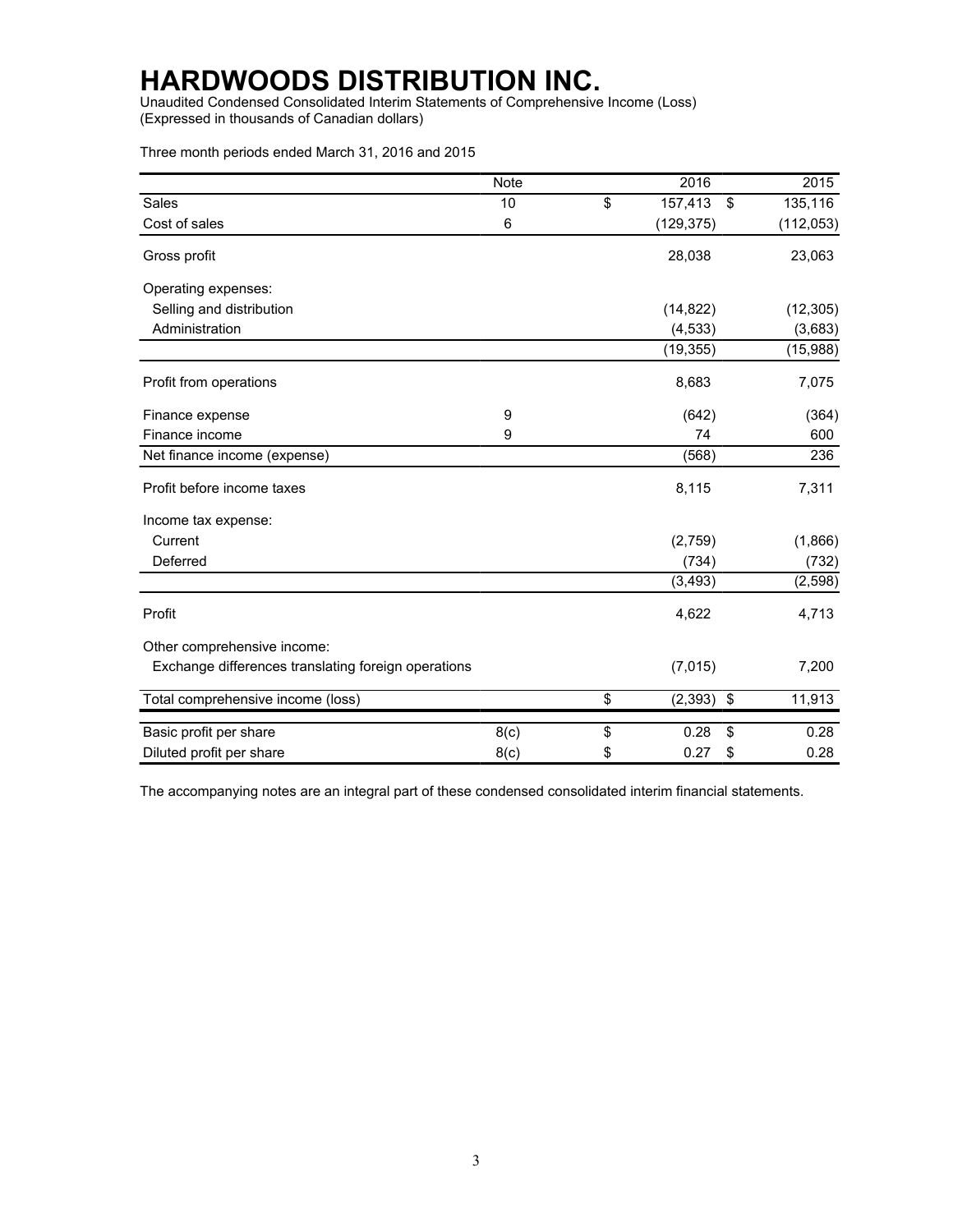Unaudited Condensed Consolidated Interim Statements of Comprehensive Income (Loss) (Expressed in thousands of Canadian dollars)

Three month periods ended March 31, 2016 and 2015

|                                                     | <b>Note</b> |                          | 2016         | 2015          |
|-----------------------------------------------------|-------------|--------------------------|--------------|---------------|
| Sales                                               | 10          | $\overline{\mathcal{L}}$ | 157,413      | \$<br>135,116 |
| Cost of sales                                       | 6           |                          | (129, 375)   | (112, 053)    |
| Gross profit                                        |             |                          | 28,038       | 23,063        |
| Operating expenses:                                 |             |                          |              |               |
| Selling and distribution                            |             |                          | (14, 822)    | (12, 305)     |
| Administration                                      |             |                          | (4, 533)     | (3,683)       |
|                                                     |             |                          | (19, 355)    | (15,988)      |
| Profit from operations                              |             |                          | 8,683        | 7,075         |
| Finance expense                                     | 9           |                          | (642)        | (364)         |
| Finance income                                      | 9           |                          | 74           | 600           |
| Net finance income (expense)                        |             |                          | (568)        | 236           |
| Profit before income taxes                          |             |                          | 8,115        | 7,311         |
| Income tax expense:                                 |             |                          |              |               |
| Current                                             |             |                          | (2,759)      | (1,866)       |
| Deferred                                            |             |                          | (734)        | (732)         |
|                                                     |             |                          | (3, 493)     | (2, 598)      |
| Profit                                              |             |                          | 4,622        | 4,713         |
| Other comprehensive income:                         |             |                          |              |               |
| Exchange differences translating foreign operations |             |                          | (7,015)      | 7,200         |
| Total comprehensive income (loss)                   |             | \$                       | $(2,393)$ \$ | 11,913        |
| Basic profit per share                              | 8(c)        | \$                       | 0.28         | \$<br>0.28    |
| Diluted profit per share                            | 8(c)        | \$                       | 0.27         | \$<br>0.28    |

The accompanying notes are an integral part of these condensed consolidated interim financial statements.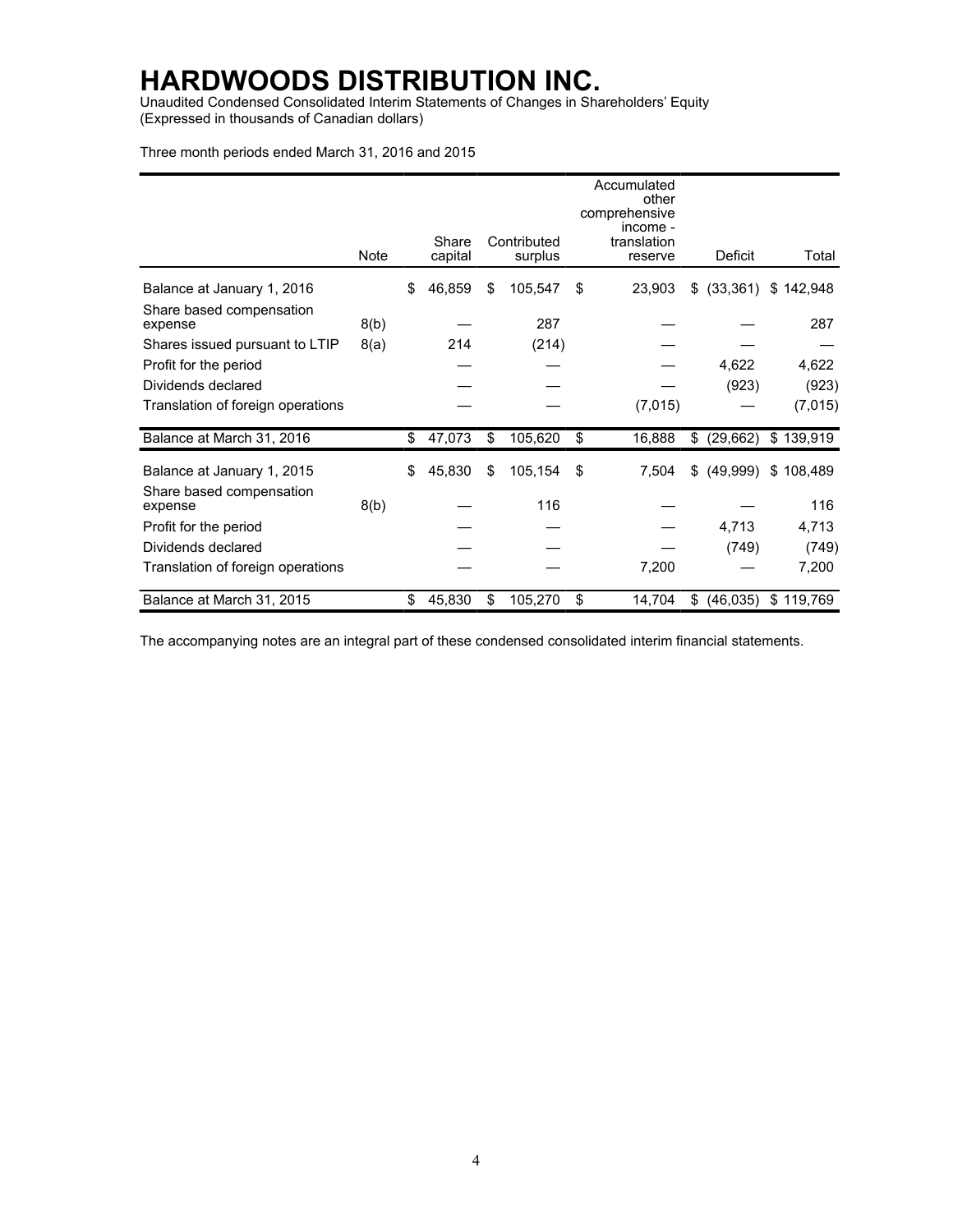Unaudited Condensed Consolidated Interim Statements of Changes in Shareholders' Equity (Expressed in thousands of Canadian dollars)

Three month periods ended March 31, 2016 and 2015

|                                     |      |                  |                        | Accumulated<br>other<br>comprehensive<br>income - |                 |           |
|-------------------------------------|------|------------------|------------------------|---------------------------------------------------|-----------------|-----------|
|                                     | Note | Share<br>capital | Contributed<br>surplus | translation<br>reserve                            | <b>Deficit</b>  | Total     |
| Balance at January 1, 2016          |      | \$<br>46,859     | \$<br>105,547          | \$<br>23,903                                      | \$<br>(33, 361) | \$142,948 |
| Share based compensation<br>expense | 8(b) |                  | 287                    |                                                   |                 | 287       |
| Shares issued pursuant to LTIP      | 8(a) | 214              | (214)                  |                                                   |                 |           |
| Profit for the period               |      |                  |                        |                                                   | 4,622           | 4,622     |
| Dividends declared                  |      |                  |                        |                                                   | (923)           | (923)     |
| Translation of foreign operations   |      |                  |                        | (7,015)                                           |                 | (7,015)   |
| Balance at March 31, 2016           |      | \$<br>47,073     | \$<br>105,620          | \$<br>16,888                                      | \$<br>(29,662)  | \$139,919 |
| Balance at January 1, 2015          |      | \$<br>45,830     | \$<br>105,154          | \$<br>7,504                                       | \$<br>(49,999)  | \$108,489 |
| Share based compensation<br>expense | 8(b) |                  | 116                    |                                                   |                 | 116       |
| Profit for the period               |      |                  |                        |                                                   | 4,713           | 4,713     |
| Dividends declared                  |      |                  |                        |                                                   | (749)           | (749)     |
| Translation of foreign operations   |      |                  |                        | 7,200                                             |                 | 7,200     |
| Balance at March 31, 2015           |      | \$<br>45,830     | \$<br>105,270          | \$<br>14,704                                      | \$<br>(46, 035) | \$119,769 |

The accompanying notes are an integral part of these condensed consolidated interim financial statements.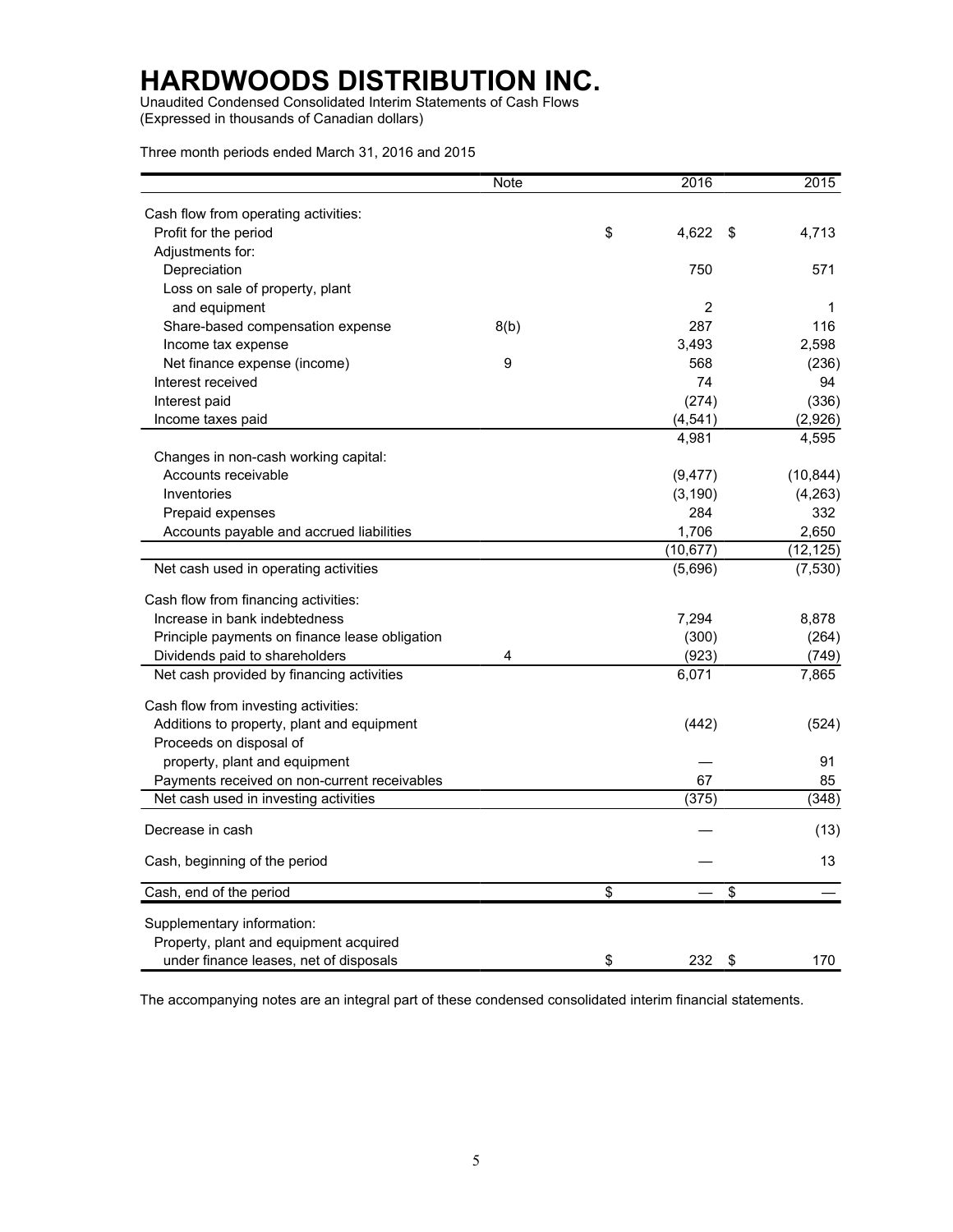Unaudited Condensed Consolidated Interim Statements of Cash Flows (Expressed in thousands of Canadian dollars)

Three month periods ended March 31, 2016 and 2015

|                                                | <b>Note</b> | 2016        | 2015        |
|------------------------------------------------|-------------|-------------|-------------|
| Cash flow from operating activities:           |             |             |             |
| Profit for the period                          |             | \$<br>4,622 | \$<br>4,713 |
| Adjustments for:                               |             |             |             |
| Depreciation                                   |             | 750         | 571         |
| Loss on sale of property, plant                |             |             |             |
| and equipment                                  |             | 2           | 1           |
| Share-based compensation expense               | 8(b)        | 287         | 116         |
| Income tax expense                             |             | 3,493       | 2,598       |
| Net finance expense (income)                   | 9           | 568         | (236)       |
| Interest received                              |             | 74          | 94          |
| Interest paid                                  |             | (274)       | (336)       |
| Income taxes paid                              |             | (4, 541)    | (2,926)     |
|                                                |             | 4,981       | 4,595       |
| Changes in non-cash working capital:           |             |             |             |
| Accounts receivable                            |             | (9, 477)    | (10, 844)   |
| Inventories                                    |             | (3, 190)    | (4, 263)    |
| Prepaid expenses                               |             | 284         | 332         |
| Accounts payable and accrued liabilities       |             | 1,706       | 2,650       |
|                                                |             | (10, 677)   | (12, 125)   |
| Net cash used in operating activities          |             | (5,696)     | (7, 530)    |
| Cash flow from financing activities:           |             |             |             |
| Increase in bank indebtedness                  |             | 7,294       | 8,878       |
| Principle payments on finance lease obligation |             | (300)       | (264)       |
| Dividends paid to shareholders                 | 4           | (923)       | (749)       |
| Net cash provided by financing activities      |             | 6,071       | 7,865       |
| Cash flow from investing activities:           |             |             |             |
| Additions to property, plant and equipment     |             | (442)       | (524)       |
| Proceeds on disposal of                        |             |             |             |
| property, plant and equipment                  |             |             | 91          |
| Payments received on non-current receivables   |             | 67          | 85          |
| Net cash used in investing activities          |             | (375)       | (348)       |
| Decrease in cash                               |             |             | (13)        |
|                                                |             |             |             |
| Cash, beginning of the period                  |             |             | 13          |
| Cash, end of the period                        |             | \$          | \$          |
| Supplementary information:                     |             |             |             |
| Property, plant and equipment acquired         |             |             |             |
| under finance leases, net of disposals         |             | \$<br>232   | \$<br>170   |

The accompanying notes are an integral part of these condensed consolidated interim financial statements.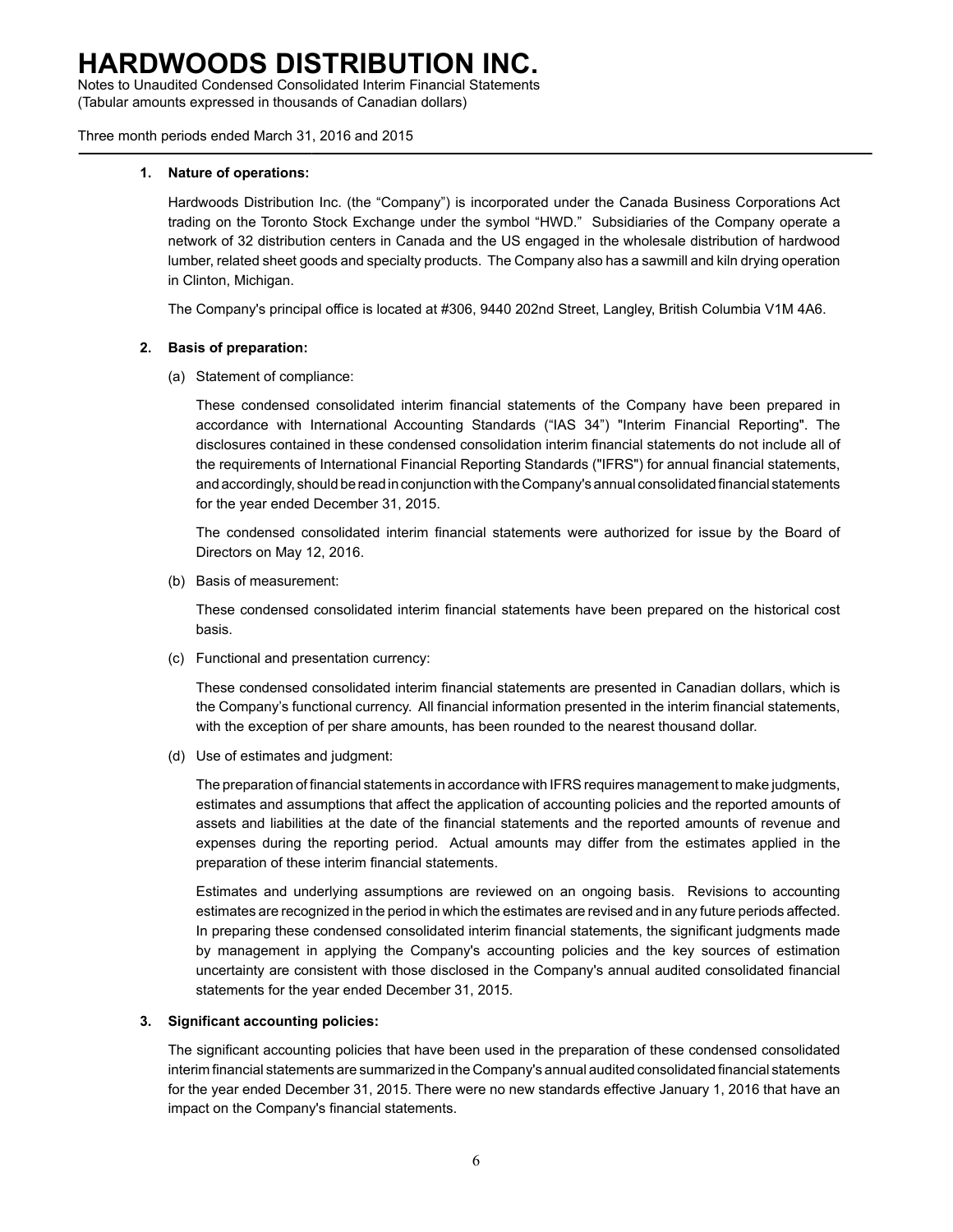Notes to Unaudited Condensed Consolidated Interim Financial Statements (Tabular amounts expressed in thousands of Canadian dollars)

Three month periods ended March 31, 2016 and 2015

#### **1. Nature of operations:**

Hardwoods Distribution Inc. (the "Company") is incorporated under the Canada Business Corporations Act trading on the Toronto Stock Exchange under the symbol "HWD." Subsidiaries of the Company operate a network of 32 distribution centers in Canada and the US engaged in the wholesale distribution of hardwood lumber, related sheet goods and specialty products. The Company also has a sawmill and kiln drying operation in Clinton, Michigan.

The Company's principal office is located at #306, 9440 202nd Street, Langley, British Columbia V1M 4A6.

### **2. Basis of preparation:**

(a) Statement of compliance:

These condensed consolidated interim financial statements of the Company have been prepared in accordance with International Accounting Standards ("IAS 34") "Interim Financial Reporting". The disclosures contained in these condensed consolidation interim financial statements do not include all of the requirements of International Financial Reporting Standards ("IFRS") for annual financial statements, and accordingly, should be read in conjunction with the Company's annual consolidated financial statements for the year ended December 31, 2015.

The condensed consolidated interim financial statements were authorized for issue by the Board of Directors on May 12, 2016.

(b) Basis of measurement:

These condensed consolidated interim financial statements have been prepared on the historical cost basis.

(c) Functional and presentation currency:

These condensed consolidated interim financial statements are presented in Canadian dollars, which is the Company's functional currency. All financial information presented in the interim financial statements, with the exception of per share amounts, has been rounded to the nearest thousand dollar.

(d) Use of estimates and judgment:

The preparation of financial statements in accordance with IFRS requires management to make judgments, estimates and assumptions that affect the application of accounting policies and the reported amounts of assets and liabilities at the date of the financial statements and the reported amounts of revenue and expenses during the reporting period. Actual amounts may differ from the estimates applied in the preparation of these interim financial statements.

Estimates and underlying assumptions are reviewed on an ongoing basis. Revisions to accounting estimates are recognized in the period in which the estimates are revised and in any future periods affected. In preparing these condensed consolidated interim financial statements, the significant judgments made by management in applying the Company's accounting policies and the key sources of estimation uncertainty are consistent with those disclosed in the Company's annual audited consolidated financial statements for the year ended December 31, 2015.

### **3. Significant accounting policies:**

The significant accounting policies that have been used in the preparation of these condensed consolidated interim financial statements are summarized in the Company's annual audited consolidated financial statements for the year ended December 31, 2015. There were no new standards effective January 1, 2016 that have an impact on the Company's financial statements.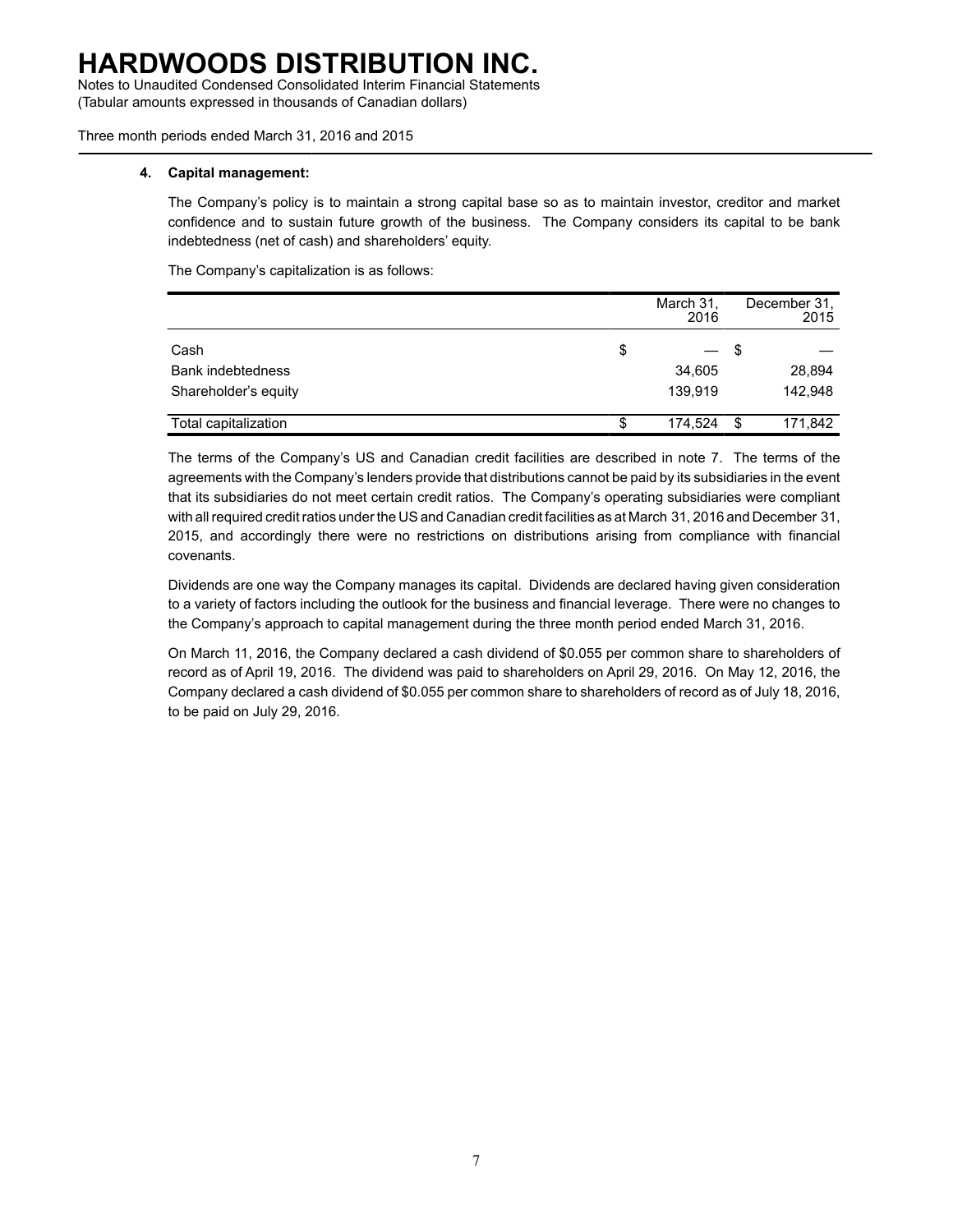Notes to Unaudited Condensed Consolidated Interim Financial Statements (Tabular amounts expressed in thousands of Canadian dollars)

Three month periods ended March 31, 2016 and 2015

#### **4. Capital management:**

The Company's policy is to maintain a strong capital base so as to maintain investor, creditor and market confidence and to sustain future growth of the business. The Company considers its capital to be bank indebtedness (net of cash) and shareholders' equity.

The Company's capitalization is as follows:

|                      | March 31,<br>2016                               |    | December 31.<br>2015 |
|----------------------|-------------------------------------------------|----|----------------------|
| Cash                 | \$<br>$\qquad \qquad \overline{\qquad \qquad }$ | -5 |                      |
| Bank indebtedness    | 34,605                                          |    | 28,894               |
| Shareholder's equity | 139.919                                         |    | 142.948              |
| Total capitalization | \$<br>174,524                                   | \$ | 171,842              |

The terms of the Company's US and Canadian credit facilities are described in note 7. The terms of the agreements with the Company's lenders provide that distributions cannot be paid by its subsidiaries in the event that its subsidiaries do not meet certain credit ratios. The Company's operating subsidiaries were compliant with all required credit ratios under the US and Canadian credit facilities as at March 31, 2016 and December 31, 2015, and accordingly there were no restrictions on distributions arising from compliance with financial covenants.

Dividends are one way the Company manages its capital. Dividends are declared having given consideration to a variety of factors including the outlook for the business and financial leverage. There were no changes to the Company's approach to capital management during the three month period ended March 31, 2016.

On March 11, 2016, the Company declared a cash dividend of \$0.055 per common share to shareholders of record as of April 19, 2016. The dividend was paid to shareholders on April 29, 2016. On May 12, 2016, the Company declared a cash dividend of \$0.055 per common share to shareholders of record as of July 18, 2016, to be paid on July 29, 2016.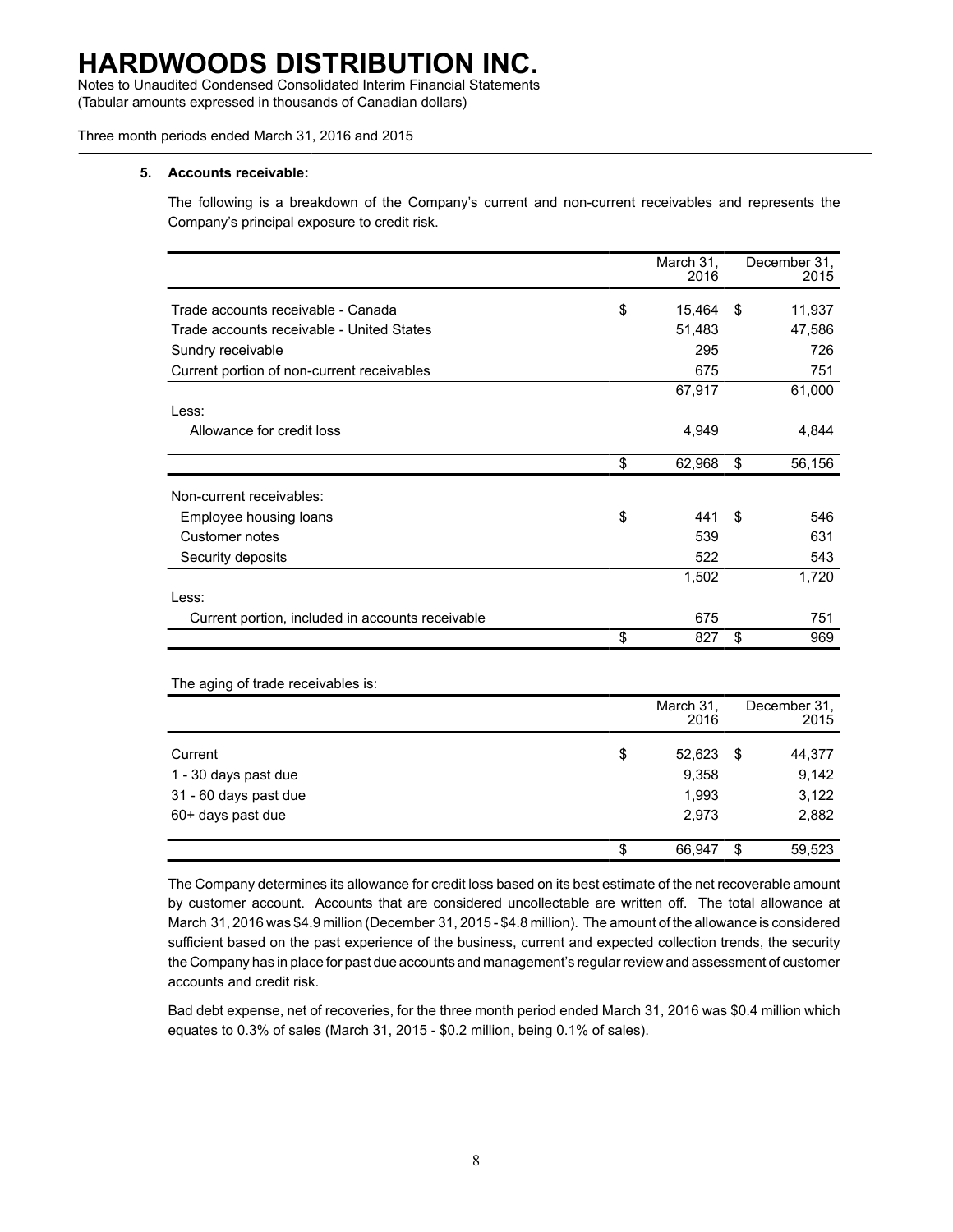Notes to Unaudited Condensed Consolidated Interim Financial Statements (Tabular amounts expressed in thousands of Canadian dollars)

Three month periods ended March 31, 2016 and 2015

#### **5. Accounts receivable:**

The following is a breakdown of the Company's current and non-current receivables and represents the Company's principal exposure to credit risk.

|                                                  | March 31,<br>2016 |     | December 31.<br>2015 |
|--------------------------------------------------|-------------------|-----|----------------------|
| Trade accounts receivable - Canada               | \$<br>15,464      | -\$ | 11,937               |
| Trade accounts receivable - United States        | 51,483            |     | 47,586               |
| Sundry receivable                                | 295               |     | 726                  |
| Current portion of non-current receivables       | 675               |     | 751                  |
|                                                  | 67,917            |     | 61,000               |
| Less:                                            |                   |     |                      |
| Allowance for credit loss                        | 4,949             |     | 4,844                |
|                                                  | \$<br>62,968      | \$  | 56,156               |
| Non-current receivables:                         |                   |     |                      |
| Employee housing loans                           | \$<br>441         | \$  | 546                  |
| Customer notes                                   | 539               |     | 631                  |
| Security deposits                                | 522               |     | 543                  |
|                                                  | 1,502             |     | 1,720                |
| Less:                                            |                   |     |                      |
| Current portion, included in accounts receivable | 675               |     | 751                  |
|                                                  | \$<br>827         | \$  | 969                  |

The aging of trade receivables is:

|                       | March 31,<br>2016 |    | December 31.<br>2015 |
|-----------------------|-------------------|----|----------------------|
| Current               | \$<br>52,623      | S  | 44,377               |
| 1 - 30 days past due  | 9,358             |    | 9,142                |
| 31 - 60 days past due | 1,993             |    | 3,122                |
| 60+ days past due     | 2.973             |    | 2,882                |
|                       | \$<br>66.947      | \$ | 59,523               |

The Company determines its allowance for credit loss based on its best estimate of the net recoverable amount by customer account. Accounts that are considered uncollectable are written off. The total allowance at March 31, 2016 was \$4.9 million (December 31, 2015 - \$4.8 million). The amount of the allowance is considered sufficient based on the past experience of the business, current and expected collection trends, the security the Company has in place for past due accounts and management's regular review and assessment of customer accounts and credit risk.

Bad debt expense, net of recoveries, for the three month period ended March 31, 2016 was \$0.4 million which equates to 0.3% of sales (March 31, 2015 - \$0.2 million, being 0.1% of sales).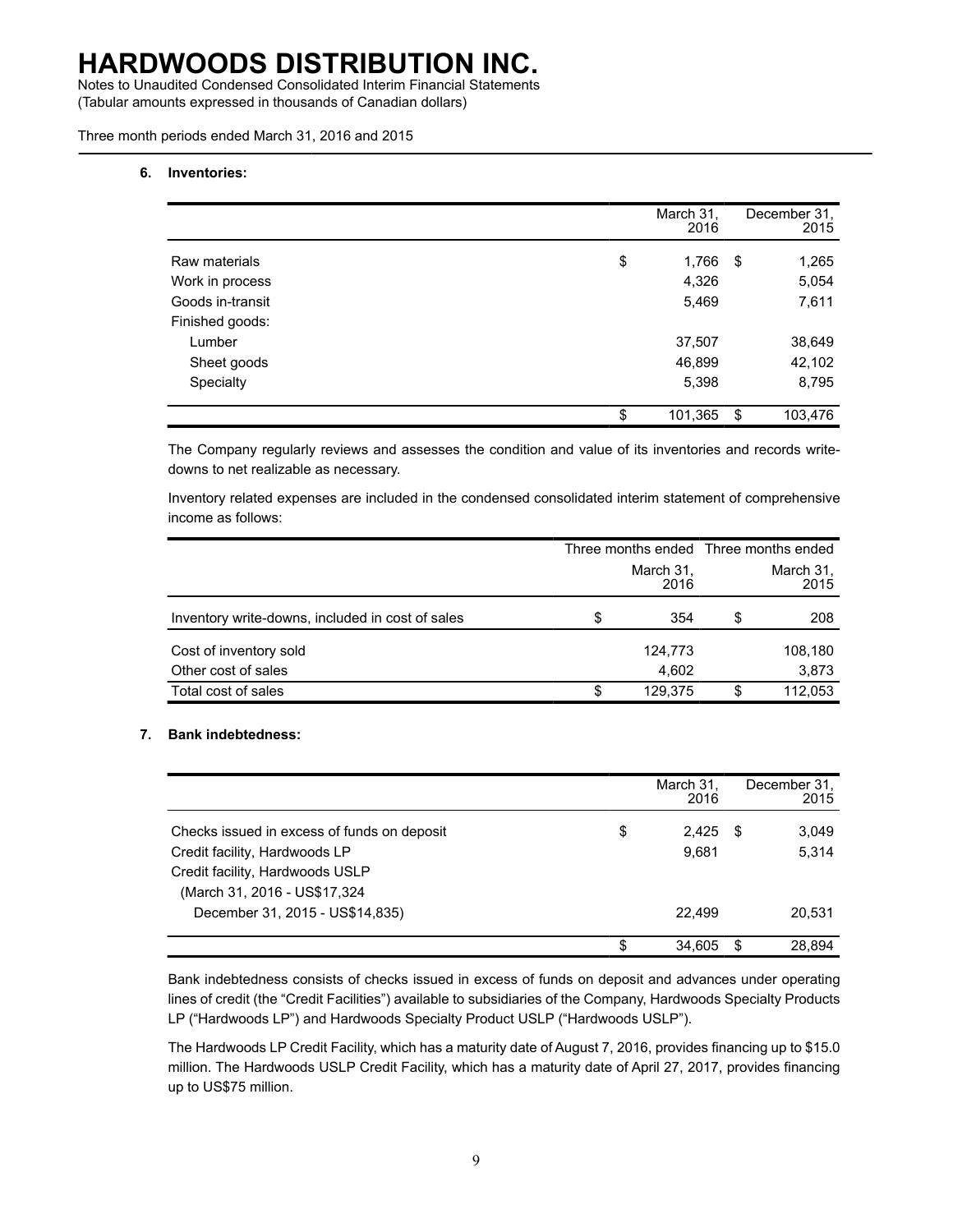Notes to Unaudited Condensed Consolidated Interim Financial Statements (Tabular amounts expressed in thousands of Canadian dollars)

Three month periods ended March 31, 2016 and 2015

#### **6. Inventories:**

|                  | March 31,<br>2016 | December 31.<br>2015 |
|------------------|-------------------|----------------------|
| Raw materials    | \$<br>1,766       | \$<br>1,265          |
| Work in process  | 4,326             | 5,054                |
| Goods in-transit | 5,469             | 7,611                |
| Finished goods:  |                   |                      |
| Lumber           | 37,507            | 38,649               |
| Sheet goods      | 46,899            | 42,102               |
| Specialty        | 5,398             | 8,795                |
|                  | \$<br>101,365     | \$<br>103,476        |

The Company regularly reviews and assesses the condition and value of its inventories and records writedowns to net realizable as necessary.

Inventory related expenses are included in the condensed consolidated interim statement of comprehensive income as follows:

|                                                  |                   |                   | Three months ended Three months ended |  |
|--------------------------------------------------|-------------------|-------------------|---------------------------------------|--|
|                                                  | March 31.<br>2016 | March 31,<br>2015 |                                       |  |
| Inventory write-downs, included in cost of sales | \$<br>354         | S                 | 208                                   |  |
| Cost of inventory sold                           | 124,773           |                   | 108,180                               |  |
| Other cost of sales                              | 4,602             |                   | 3,873                                 |  |
| Total cost of sales                              | \$<br>129,375     | S.                | 112,053                               |  |

#### **7. Bank indebtedness:**

|                                             | March 31,<br>2016 |    | December 31.<br>2015 |
|---------------------------------------------|-------------------|----|----------------------|
| Checks issued in excess of funds on deposit | \$<br>2,425       | \$ | 3,049                |
| Credit facility, Hardwoods LP               | 9.681             |    | 5,314                |
| Credit facility, Hardwoods USLP             |                   |    |                      |
| (March 31, 2016 - US\$17,324                |                   |    |                      |
| December 31, 2015 - US\$14,835)             | 22.499            |    | 20,531               |
|                                             | \$<br>34.605      | S  | 28.894               |

Bank indebtedness consists of checks issued in excess of funds on deposit and advances under operating lines of credit (the "Credit Facilities") available to subsidiaries of the Company, Hardwoods Specialty Products LP ("Hardwoods LP") and Hardwoods Specialty Product USLP ("Hardwoods USLP").

The Hardwoods LP Credit Facility, which has a maturity date of August 7, 2016, provides financing up to \$15.0 million. The Hardwoods USLP Credit Facility, which has a maturity date of April 27, 2017, provides financing up to US\$75 million.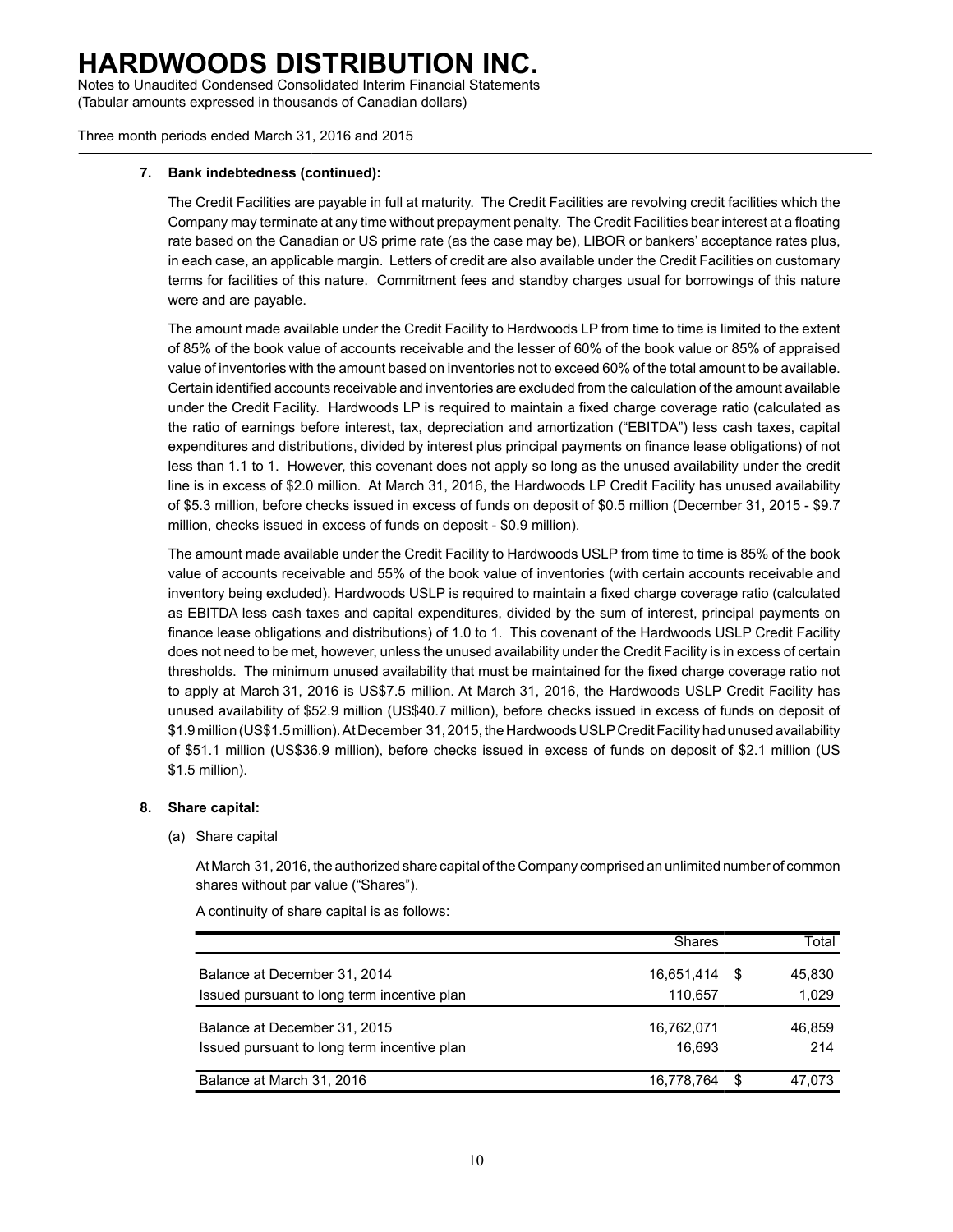Notes to Unaudited Condensed Consolidated Interim Financial Statements (Tabular amounts expressed in thousands of Canadian dollars)

Three month periods ended March 31, 2016 and 2015

#### **7. Bank indebtedness (continued):**

The Credit Facilities are payable in full at maturity. The Credit Facilities are revolving credit facilities which the Company may terminate at any time without prepayment penalty. The Credit Facilities bear interest at a floating rate based on the Canadian or US prime rate (as the case may be), LIBOR or bankers' acceptance rates plus, in each case, an applicable margin. Letters of credit are also available under the Credit Facilities on customary terms for facilities of this nature. Commitment fees and standby charges usual for borrowings of this nature were and are payable.

The amount made available under the Credit Facility to Hardwoods LP from time to time is limited to the extent of 85% of the book value of accounts receivable and the lesser of 60% of the book value or 85% of appraised value of inventories with the amount based on inventories not to exceed 60% of the total amount to be available. Certain identified accounts receivable and inventories are excluded from the calculation of the amount available under the Credit Facility. Hardwoods LP is required to maintain a fixed charge coverage ratio (calculated as the ratio of earnings before interest, tax, depreciation and amortization ("EBITDA") less cash taxes, capital expenditures and distributions, divided by interest plus principal payments on finance lease obligations) of not less than 1.1 to 1. However, this covenant does not apply so long as the unused availability under the credit line is in excess of \$2.0 million. At March 31, 2016, the Hardwoods LP Credit Facility has unused availability of \$5.3 million, before checks issued in excess of funds on deposit of \$0.5 million (December 31, 2015 - \$9.7 million, checks issued in excess of funds on deposit - \$0.9 million).

The amount made available under the Credit Facility to Hardwoods USLP from time to time is 85% of the book value of accounts receivable and 55% of the book value of inventories (with certain accounts receivable and inventory being excluded). Hardwoods USLP is required to maintain a fixed charge coverage ratio (calculated as EBITDA less cash taxes and capital expenditures, divided by the sum of interest, principal payments on finance lease obligations and distributions) of 1.0 to 1. This covenant of the Hardwoods USLP Credit Facility does not need to be met, however, unless the unused availability under the Credit Facility is in excess of certain thresholds. The minimum unused availability that must be maintained for the fixed charge coverage ratio not to apply at March 31, 2016 is US\$7.5 million. At March 31, 2016, the Hardwoods USLP Credit Facility has unused availability of \$52.9 million (US\$40.7 million), before checks issued in excess of funds on deposit of \$1.9 million (US\$1.5 million). At December 31, 2015, the Hardwoods USLPCredit Facility had unused availability of \$51.1 million (US\$36.9 million), before checks issued in excess of funds on deposit of \$2.1 million (US \$1.5 million).

### **8. Share capital:**

#### (a) Share capital

At March 31, 2016, the authorized share capital of the Company comprised an unlimited number of common shares without par value ("Shares").

|                                             | <b>Shares</b> |     | Total  |
|---------------------------------------------|---------------|-----|--------|
| Balance at December 31, 2014                | 16,651,414    | - 5 | 45.830 |
| Issued pursuant to long term incentive plan | 110,657       |     | 1,029  |
| Balance at December 31, 2015                | 16.762.071    |     | 46.859 |
| Issued pursuant to long term incentive plan | 16.693        |     | 214    |
| Balance at March 31, 2016                   | 16,778,764    | .S  | 47.073 |

A continuity of share capital is as follows: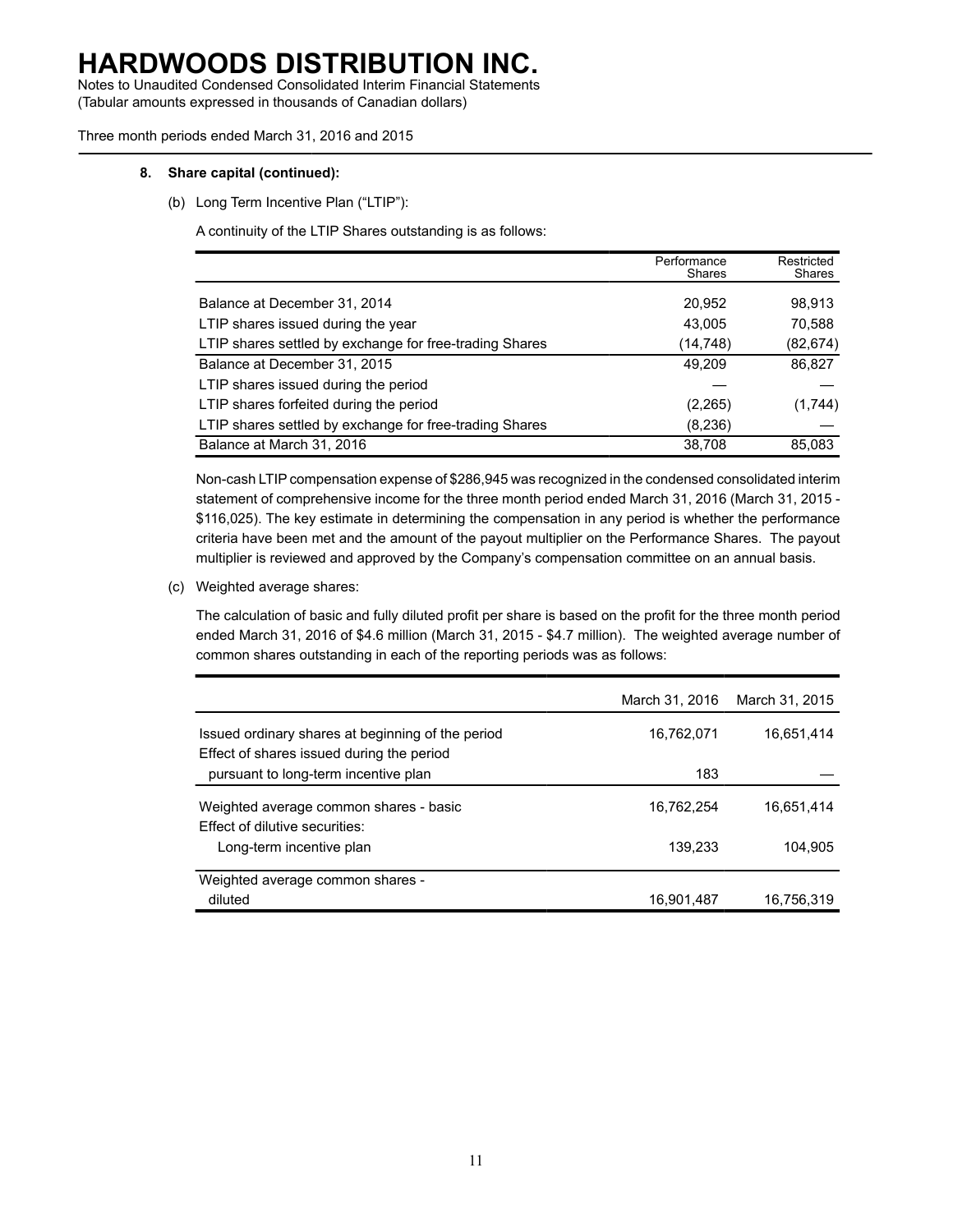Notes to Unaudited Condensed Consolidated Interim Financial Statements (Tabular amounts expressed in thousands of Canadian dollars)

Three month periods ended March 31, 2016 and 2015

#### **8. Share capital (continued):**

(b) Long Term Incentive Plan ("LTIP"):

A continuity of the LTIP Shares outstanding is as follows:

|                                                         | Performance<br>Shares | Restricted<br>Shares |
|---------------------------------------------------------|-----------------------|----------------------|
| Balance at December 31, 2014                            | 20,952                | 98,913               |
| LTIP shares issued during the year                      | 43,005                | 70,588               |
| LTIP shares settled by exchange for free-trading Shares | (14,748)              | (82,674)             |
| Balance at December 31, 2015                            | 49,209                | 86,827               |
| LTIP shares issued during the period                    |                       |                      |
| LTIP shares forfeited during the period                 | (2,265)               | (1,744)              |
| LTIP shares settled by exchange for free-trading Shares | (8,236)               |                      |
| Balance at March 31, 2016                               | 38,708                | 85,083               |

Non-cash LTIP compensation expense of \$286,945 was recognized in the condensed consolidated interim statement of comprehensive income for the three month period ended March 31, 2016 (March 31, 2015 - \$116,025). The key estimate in determining the compensation in any period is whether the performance criteria have been met and the amount of the payout multiplier on the Performance Shares. The payout multiplier is reviewed and approved by the Company's compensation committee on an annual basis.

(c) Weighted average shares:

The calculation of basic and fully diluted profit per share is based on the profit for the three month period ended March 31, 2016 of \$4.6 million (March 31, 2015 - \$4.7 million). The weighted average number of common shares outstanding in each of the reporting periods was as follows:

|                                                                                   | March 31, 2016 | March 31, 2015 |
|-----------------------------------------------------------------------------------|----------------|----------------|
| Issued ordinary shares at beginning of the period                                 | 16.762.071     | 16.651.414     |
| Effect of shares issued during the period<br>pursuant to long-term incentive plan | 183            |                |
| Weighted average common shares - basic                                            | 16.762.254     | 16.651.414     |
| Effect of dilutive securities:<br>Long-term incentive plan                        | 139.233        | 104.905        |
| Weighted average common shares -                                                  |                |                |
| diluted                                                                           | 16,901,487     | 16.756.319     |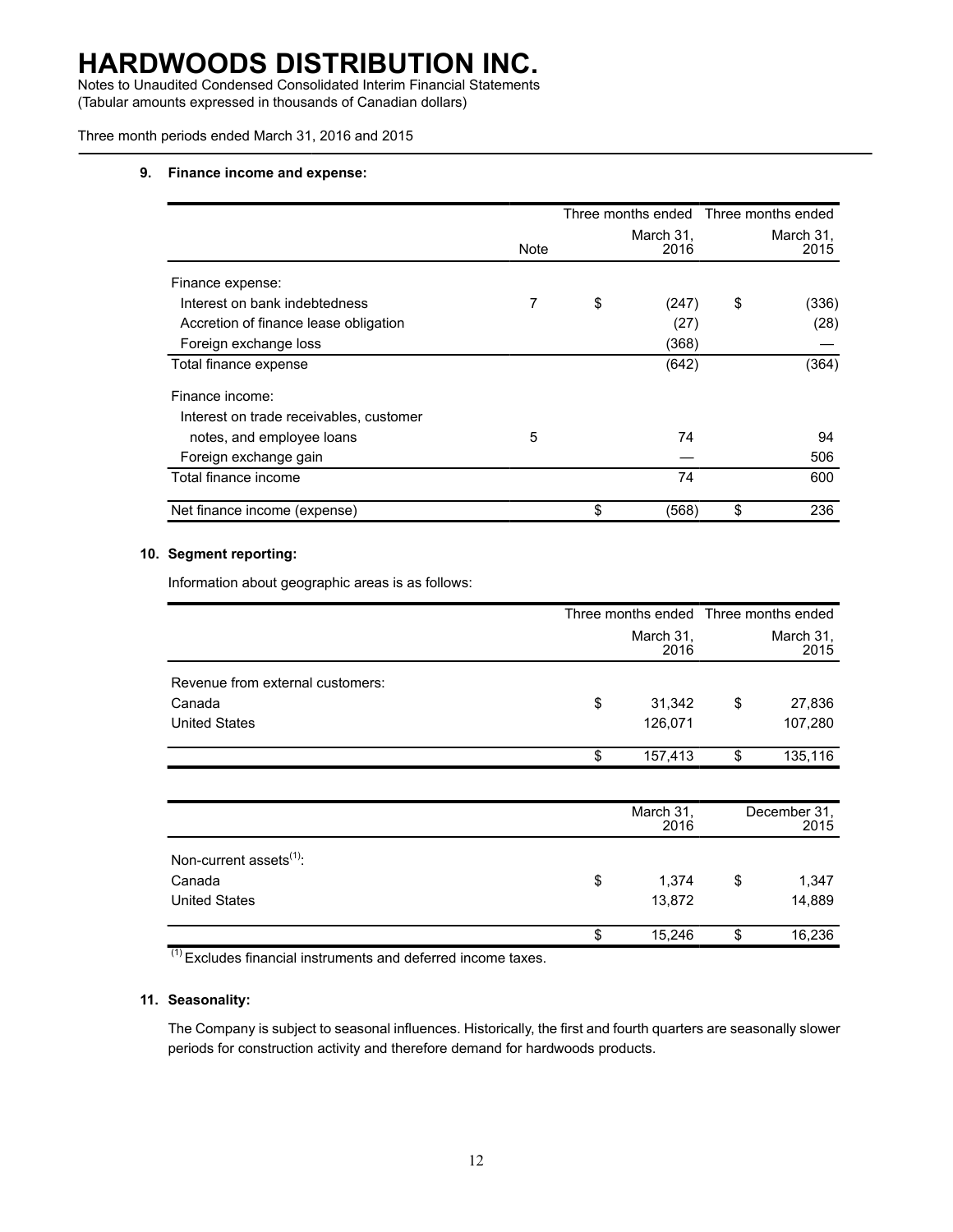Notes to Unaudited Condensed Consolidated Interim Financial Statements (Tabular amounts expressed in thousands of Canadian dollars)

Three month periods ended March 31, 2016 and 2015

### **9. Finance income and expense:**

|                                         |      |                   | Three months ended Three months ended |
|-----------------------------------------|------|-------------------|---------------------------------------|
|                                         | Note | March 31,<br>2016 | March 31,<br>2015                     |
| Finance expense:                        |      |                   |                                       |
| Interest on bank indebtedness           | 7    | \$<br>(247)       | \$<br>(336)                           |
| Accretion of finance lease obligation   |      | (27)              | (28)                                  |
| Foreign exchange loss                   |      | (368)             |                                       |
| Total finance expense                   |      | (642)             | (364)                                 |
| Finance income:                         |      |                   |                                       |
| Interest on trade receivables, customer |      |                   |                                       |
| notes, and employee loans               | 5    | 74                | 94                                    |
| Foreign exchange gain                   |      |                   | 506                                   |
| Total finance income                    |      | 74                | 600                                   |
| Net finance income (expense)            |      | \$<br>(568)       | \$<br>236                             |

### **10. Segment reporting:**

Information about geographic areas is as follows:

|    | March 31,<br>2016 | March 31,<br>2015 |                                       |
|----|-------------------|-------------------|---------------------------------------|
|    |                   |                   |                                       |
| \$ | 31,342            | \$                | 27,836                                |
|    | 126,071           |                   | 107,280                               |
| \$ | 157,413           | \$                | 135,116                               |
|    |                   |                   |                                       |
|    | March 31,<br>2016 |                   | December 31,<br>2015                  |
|    |                   |                   |                                       |
| \$ | 1,374             | \$                | 1,347                                 |
|    | 13,872            |                   | 14,889                                |
| \$ | 15,246            | \$                | 16,236                                |
|    |                   |                   | Three months ended Three months ended |

(1) Excludes financial instruments and deferred income taxes.

### **11. Seasonality:**

The Company is subject to seasonal influences. Historically, the first and fourth quarters are seasonally slower periods for construction activity and therefore demand for hardwoods products.